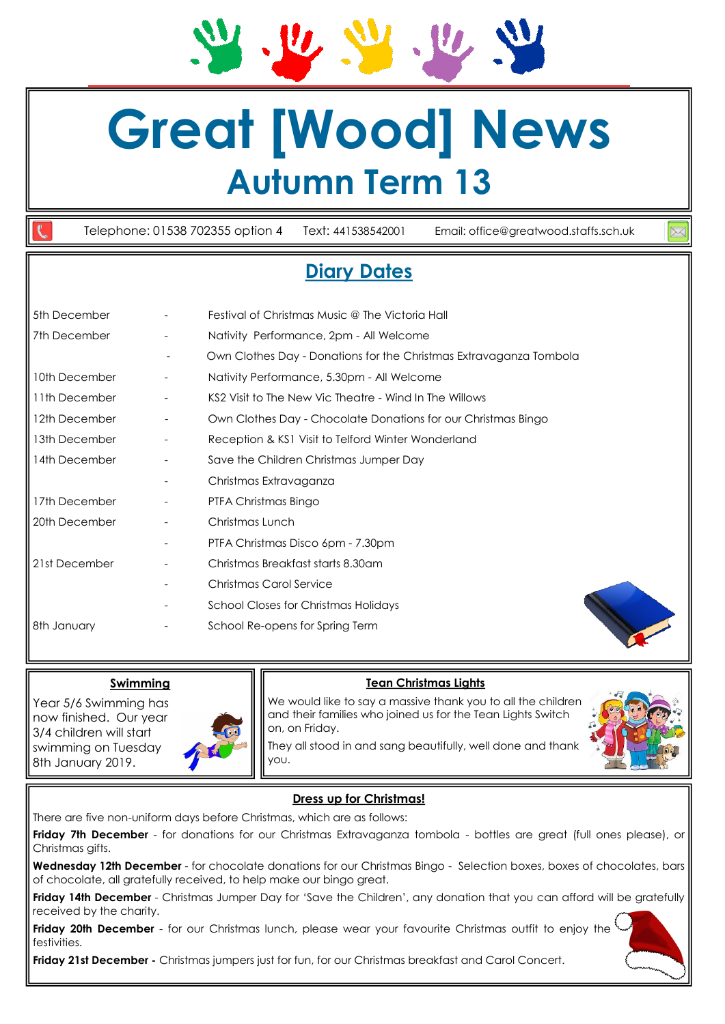# **Great [Wood] News Autumn Term 13**

Telephone: 01538 702355 option 4 Text: 441538542001 Email: office@greatwood.staffs.sch.uk

## **Diary Dates**

| 5th December  |                          | Festival of Christmas Music @ The Victoria Hall                    |
|---------------|--------------------------|--------------------------------------------------------------------|
| 7th December  | -                        | Nativity Performance, 2pm - All Welcome                            |
|               | $\overline{\phantom{a}}$ | Own Clothes Day - Donations for the Christmas Extravaganza Tombola |
| 10th December |                          | Nativity Performance, 5.30pm - All Welcome                         |
| 11th December |                          | KS2 Visit to The New Vic Theatre - Wind In The Willows             |
| 12th December | $\overline{\phantom{a}}$ | Own Clothes Day - Chocolate Donations for our Christmas Bingo      |
| 13th December | $\overline{\phantom{a}}$ | Reception & KS1 Visit to Telford Winter Wonderland                 |
| 14th December |                          | Save the Children Christmas Jumper Day                             |
|               | -                        | Christmas Extravaganza                                             |
| 17th December |                          | PTFA Christmas Bingo                                               |
| 20th December | $\overline{\phantom{a}}$ | Christmas Lunch                                                    |
|               |                          | PTFA Christmas Disco 6pm - 7.30pm                                  |
| 21st December |                          | Christmas Breakfast starts 8.30am                                  |
|               |                          | Christmas Carol Service                                            |
|               | -                        | <b>School Closes for Christmas Holidays</b>                        |
| 8th January   |                          | School Re-opens for Spring Term                                    |

### **Swimming**

Year 5/6 Swimming has now finished. Our year 3/4 children will start swimming on Tuesday 8th January 2019.



### **Tean Christmas Lights**

We would like to say a massive thank you to all the children and their families who joined us for the Tean Lights Switch on, on Friday.



They all stood in and sang beautifully, well done and thank you.

### **Dress up for Christmas!**

There are five non-uniform days before Christmas, which are as follows:

**Friday 7th December** - for donations for our Christmas Extravaganza tombola - bottles are great (full ones please), or Christmas gifts.

**Wednesday 12th December** - for chocolate donations for our Christmas Bingo - Selection boxes, boxes of chocolates, bars of chocolate, all gratefully received, to help make our bingo great.

**Friday 14th December** - Christmas Jumper Day for 'Save the Children', any donation that you can afford will be gratefully received by the charity.

Friday 20th December - for our Christmas lunch, please wear your favourite Christmas outfit to enjoy the<sup>1</sup> festivities.

**Friday 21st December -** Christmas jumpers just for fun, for our Christmas breakfast and Carol Concert.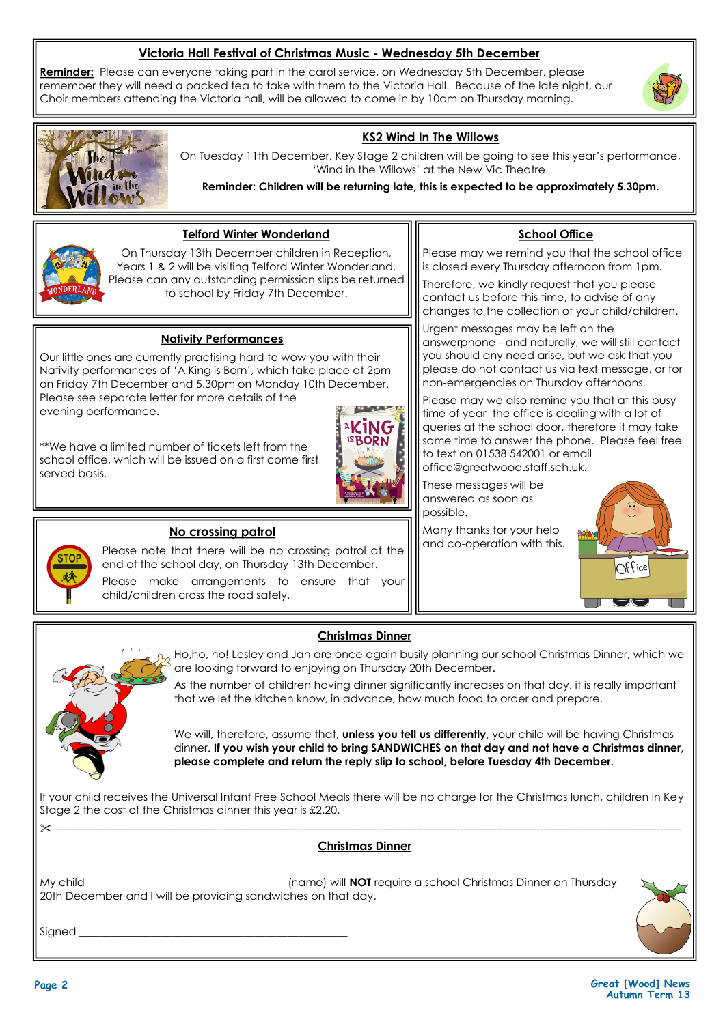### **Victoria Hall Festival of Christmas Music - Wednesday 5th December**

**Reminder:** Please can everyone taking part in the carol service, on Wednesday 5th December, please remember they will need a packed tea to take with them to the Victoria Hall. Because of the late night, our Choir members attending the Victoria hall, will be allowed to come in by 10am on Thursday morning.





### **KS2 Wind In The Willows**

On Tuesday 11th December, Key Stage 2 children will be going to see this year's performance, 'Wind in the Willows' at the New Vic Theatre.

**Reminder: Children will be returning late, this is expected to be approximately 5.30pm.**



### **Telford Winter Wonderland**

On Thursday 13th December children in Reception, Years 1 & 2 will be visiting Telford Winter Wonderland. Please can any outstanding permission slips be returned to school by Friday 7th December.

### **Nativity Performances**

Our little ones are currently practising hard to wow you with their Nativity performances of 'A King is Born', which take place at 2pm on Friday 7th December and 5.30pm on Monday 10th December. Please see separate letter for more details of the evening performance.

\*\*We have a limited number of tickets left from the school office, which will be issued on a first come first served basis.



### **School Office**

Please may we remind you that the school office is closed every Thursday afternoon from 1pm.

Therefore, we kindly request that you please contact us before this time, to advise of any changes to the collection of your child/children.

Urgent messages may be left on the answerphone - and naturally, we will still contact you should any need arise, but we ask that you please do not contact us via text message, or for non-emergencies on Thursday afternoons.

Please may we also remind you that at this busy time of year the office is dealing with a lot of queries at the school door, therefore it may take some time to answer the phone. Please feel free to text on 01538 542001 or email office@greatwood.staff.sch.uk.

These messages will be answered as soon as possible.

Many thanks for your help and co-operation with this.





### **No crossing patrol**

Please note that there will be no crossing patrol at the end of the school day, on Thursday 13th December.

Please make arrangements to ensure that your child/children cross the road safely.

### **Christmas Dinner**

, Ho,ho, ho! Lesley and Jan are once again busily planning our school Christmas Dinner, which we are looking forward to enjoying on Thursday 20th December.

As the number of children having dinner significantly increases on that day, it is really important that we let the kitchen know, in advance, how much food to order and prepare.

We will, therefore, assume that, **unless you tell us differently**, your child will be having Christmas dinner. **If you wish your child to bring SANDWICHES on that day and not have a Christmas dinner, please complete and return the reply slip to school, before Tuesday 4th December**.

If your child receives the Universal Infant Free School Meals there will be no charge for the Christmas lunch, children in Key Stage 2 the cost of the Christmas dinner this year is £2.20.

#### ----------------------------------------------------------------------------------------------------------------------------------------------------------------------------- **Christmas Dinner**

My child \_\_\_\_\_\_\_\_\_\_\_\_\_\_\_\_\_\_\_\_\_\_\_\_\_\_\_\_\_\_\_\_\_\_\_\_ (name) will **NOT** require a school Christmas Dinner on Thursday 20th December and I will be providing sandwiches on that day.

Signed